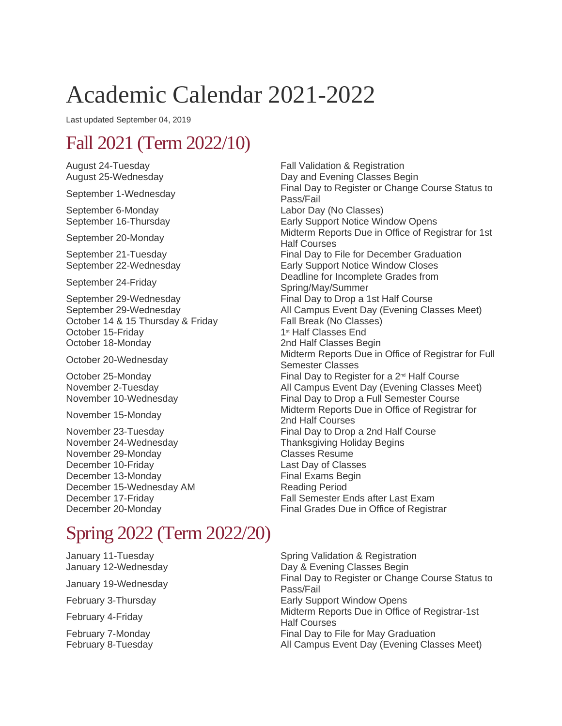# Academic Calendar 2021-2022

Last updated September 04, 2019

## Fall 2021 (Term 2022/10)

September 6-Monday Labor Day (No Classes)<br>
September 16-Thursday Labor Day (No Classes)

October 14 & 15 Thursday & Friday Fall Break (No Classes)<br>October 15-Friday Fall Break (No Classes End October 15-Friday October 18-Monday 2nd Half Classes Begin

November 24-Wednesday Thanksgiving Holiday Begins<br>November 29-Monday November 29-Monday November 29-Monday December 10-Friday Last Day of Classes December 13-Monday **Final Exams Begin** December 15-Wednesday AM Reading Period

#### August 24-Tuesday **Fall Validation & Registration** August 25-Wednesday **Day and Evening Classes Begin** September 1-Wednesday Final Day to Register or Change Course Status to September 1-Wednesday Pass/Fail Early Support Notice Window Opens September 20-Monday Midterm Reports Due in Office of Registrar for 1st Half Courses September 21-Tuesday **Final Day to File for December Graduation** September 22-Wednesday Early Support Notice Window Closes September 24-Friday **Deadline for Incomplete Grades from**<br>
September 24-Friday Spring/May/Summer September 29-Wednesday **Final Day to Drop a 1st Half Course** September 29-Wednesday **All Campus Event Day (Evening Classes Meet)** All Campus Event Day (Evening Classes Meet) October 20-Wednesday Midterm Reports Due in Office of Registrar for Full Semester Classes October 25-Monday  $\qquad \qquad$  Final Day to Register for a 2<sup>nd</sup> Half Course November 2-Tuesday <br>
November 10-Wednesday **All Campus Event Day (Evening Classes Meet)**<br>
Final Day to Drop a Full Semester Course Final Day to Drop a Full Semester Course November 15-Monday Midterm Reports Due in Office of Registrar for<br>  $\frac{1}{2}$  Movember 15-Monday 2nd Half Courses November 23-Tuesday **Final Day to Drop a 2nd Half Course** December 17-Friday Fall Semester Ends after Last Exam<br>December 20-Monday Final Grades Due in Office of Registr Final Grades Due in Office of Registrar

### Spring 2022 (Term 2022/20)

January 11-Tuesday Spring Validation & Registration

January 12-Wednesday **Day & Evening Classes Begin** January 19-Wednesday Final Day to Register or Change Course Status to January 19-Wednesday Pass/Fail February 3-Thursday **Early Support Window Opens** February 4-Friday Midterm Reports Due in Office of Registrar-1st Half Courses February 7-Monday **Final Day to File for May Graduation** February 8-Tuesday **All Campus Event Day (Evening Classes Meet)** All Campus Event Day (Evening Classes Meet)